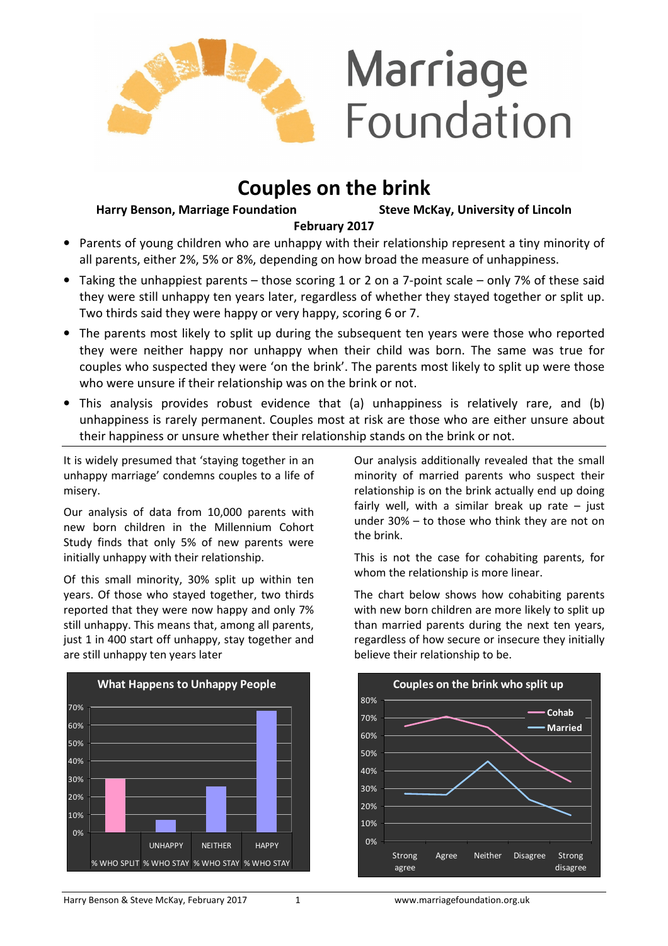

# **Couples on the brink**

**Harry Benson, Marriage Foundation Steve McKay, University of Lincoln** 

## **February 2017**

- Parents of young children who are unhappy with their relationship represent a tiny minority of all parents, either 2%, 5% or 8%, depending on how broad the measure of unhappiness.
- Taking the unhappiest parents those scoring 1 or 2 on a 7-point scale only 7% of these said they were still unhappy ten years later, regardless of whether they stayed together or split up. Two thirds said they were happy or very happy, scoring 6 or 7.
- The parents most likely to split up during the subsequent ten years were those who reported they were neither happy nor unhappy when their child was born. The same was true for couples who suspected they were 'on the brink'. The parents most likely to split up were those who were unsure if their relationship was on the brink or not.
- This analysis provides robust evidence that (a) unhappiness is relatively rare, and (b) unhappiness is rarely permanent. Couples most at risk are those who are either unsure about their happiness or unsure whether their relationship stands on the brink or not.

It is widely presumed that 'staying together in an unhappy marriage' condemns couples to a life of misery.

Our analysis of data from 10,000 parents with new born children in the Millennium Cohort Study finds that only 5% of new parents were initially unhappy with their relationship.

Of this small minority, 30% split up within ten years. Of those who stayed together, two thirds reported that they were now happy and only 7% still unhappy. This means that, among all parents, just 1 in 400 start off unhappy, stay together and are still unhappy ten years later



Our analysis additionally revealed that the small minority of married parents who suspect their relationship is on the brink actually end up doing fairly well, with a similar break up rate  $-$  just under 30% – to those who think they are not on the brink.

This is not the case for cohabiting parents, for whom the relationship is more linear.

The chart below shows how cohabiting parents with new born children are more likely to split up than married parents during the next ten years, regardless of how secure or insecure they initially believe their relationship to be.

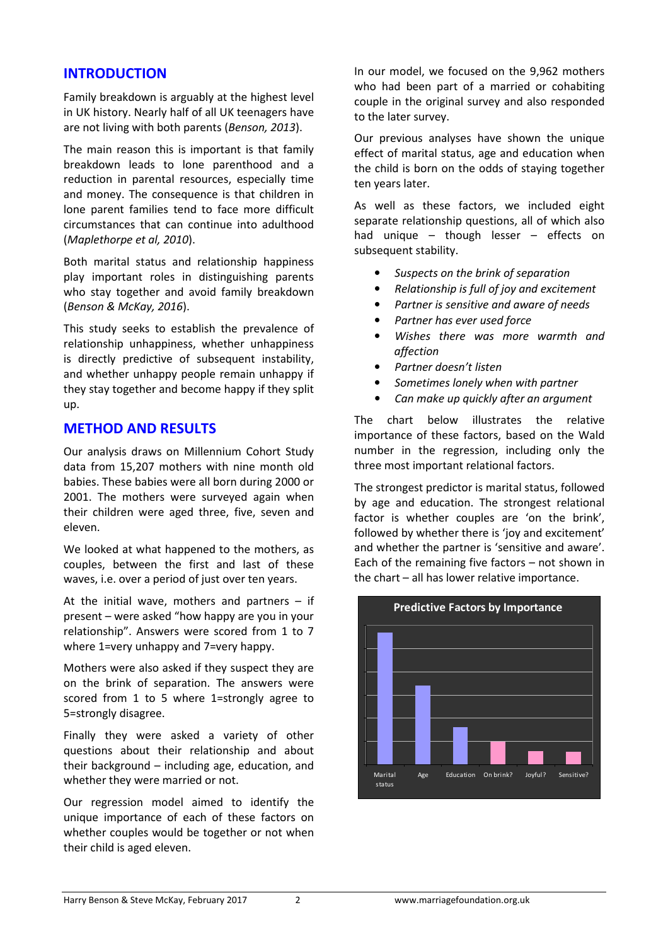# **INTRODUCTION**

Family breakdown is arguably at the highest level in UK history. Nearly half of all UK teenagers have are not living with both parents (*Benson, 2013*).

The main reason this is important is that family breakdown leads to lone parenthood and a reduction in parental resources, especially time and money. The consequence is that children in lone parent families tend to face more difficult circumstances that can continue into adulthood (*Maplethorpe et al, 2010*).

Both marital status and relationship happiness play important roles in distinguishing parents who stay together and avoid family breakdown (*Benson & McKay, 2016*).

This study seeks to establish the prevalence of relationship unhappiness, whether unhappiness is directly predictive of subsequent instability, and whether unhappy people remain unhappy if they stay together and become happy if they split up.

# **METHOD AND RESULTS**

Our analysis draws on Millennium Cohort Study data from 15,207 mothers with nine month old babies. These babies were all born during 2000 or 2001. The mothers were surveyed again when their children were aged three, five, seven and eleven.

We looked at what happened to the mothers, as couples, between the first and last of these waves, i.e. over a period of just over ten years.

At the initial wave, mothers and partners  $-$  if present – were asked "how happy are you in your relationship". Answers were scored from 1 to 7 where 1=very unhappy and 7=very happy.

Mothers were also asked if they suspect they are on the brink of separation. The answers were scored from 1 to 5 where 1=strongly agree to 5=strongly disagree.

Finally they were asked a variety of other questions about their relationship and about their background – including age, education, and whether they were married or not.

Our regression model aimed to identify the unique importance of each of these factors on whether couples would be together or not when their child is aged eleven.

In our model, we focused on the 9,962 mothers who had been part of a married or cohabiting couple in the original survey and also responded to the later survey.

Our previous analyses have shown the unique effect of marital status, age and education when the child is born on the odds of staying together ten years later.

As well as these factors, we included eight separate relationship questions, all of which also had unique – though lesser – effects on subsequent stability.

- *Suspects on the brink of separation*
- *Relationship is full of joy and excitement*
- *Partner is sensitive and aware of needs*
- *Partner has ever used force*
- *Wishes there was more warmth and affection*
- *Partner doesn't listen*
- *Sometimes lonely when with partner*
- *Can make up quickly after an argument*

The chart below illustrates the relative importance of these factors, based on the Wald number in the regression, including only the three most important relational factors.

The strongest predictor is marital status, followed by age and education. The strongest relational factor is whether couples are 'on the brink', followed by whether there is 'joy and excitement' and whether the partner is 'sensitive and aware'. Each of the remaining five factors – not shown in the chart – all has lower relative importance.

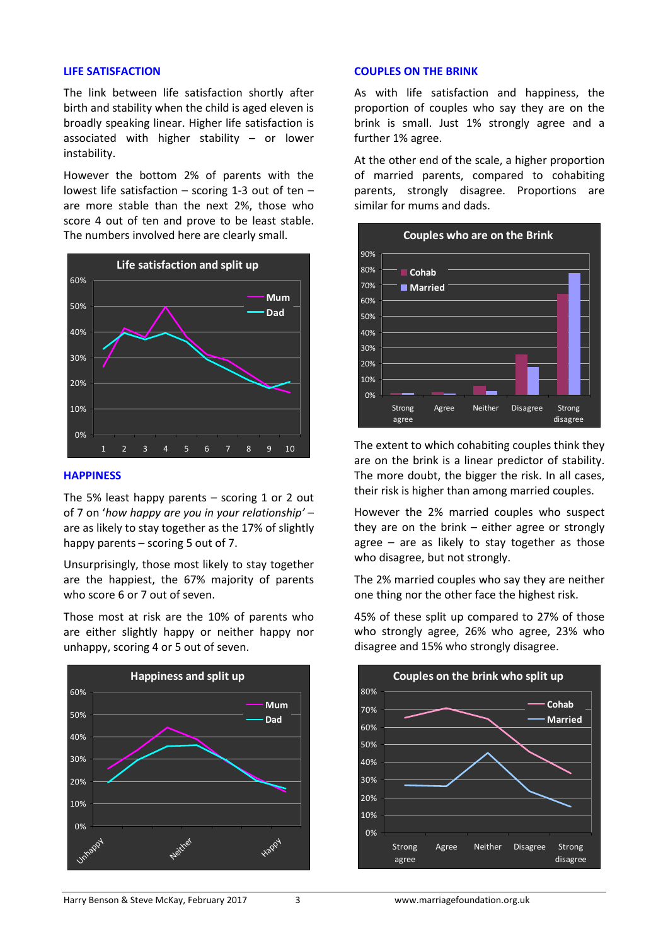#### **LIFE SATISFACTION**

The link between life satisfaction shortly after birth and stability when the child is aged eleven is broadly speaking linear. Higher life satisfaction is associated with higher stability – or lower instability.

However the bottom 2% of parents with the lowest life satisfaction – scoring 1-3 out of ten – are more stable than the next 2%, those who score 4 out of ten and prove to be least stable. The numbers involved here are clearly small.



#### **HAPPINESS**

The 5% least happy parents  $-$  scoring 1 or 2 out of 7 on '*how happy are you in your relationship'* – are as likely to stay together as the 17% of slightly happy parents – scoring 5 out of 7.

Unsurprisingly, those most likely to stay together are the happiest, the 67% majority of parents who score 6 or 7 out of seven.

Those most at risk are the 10% of parents who are either slightly happy or neither happy nor unhappy, scoring 4 or 5 out of seven.



## **COUPLES ON THE BRINK**

As with life satisfaction and happiness, the proportion of couples who say they are on the brink is small. Just 1% strongly agree and a further 1% agree.

At the other end of the scale, a higher proportion of married parents, compared to cohabiting parents, strongly disagree. Proportions are similar for mums and dads.



The extent to which cohabiting couples think they are on the brink is a linear predictor of stability. The more doubt, the bigger the risk. In all cases, their risk is higher than among married couples.

However the 2% married couples who suspect they are on the brink – either agree or strongly agree – are as likely to stay together as those who disagree, but not strongly.

The 2% married couples who say they are neither one thing nor the other face the highest risk.

45% of these split up compared to 27% of those who strongly agree, 26% who agree, 23% who disagree and 15% who strongly disagree.

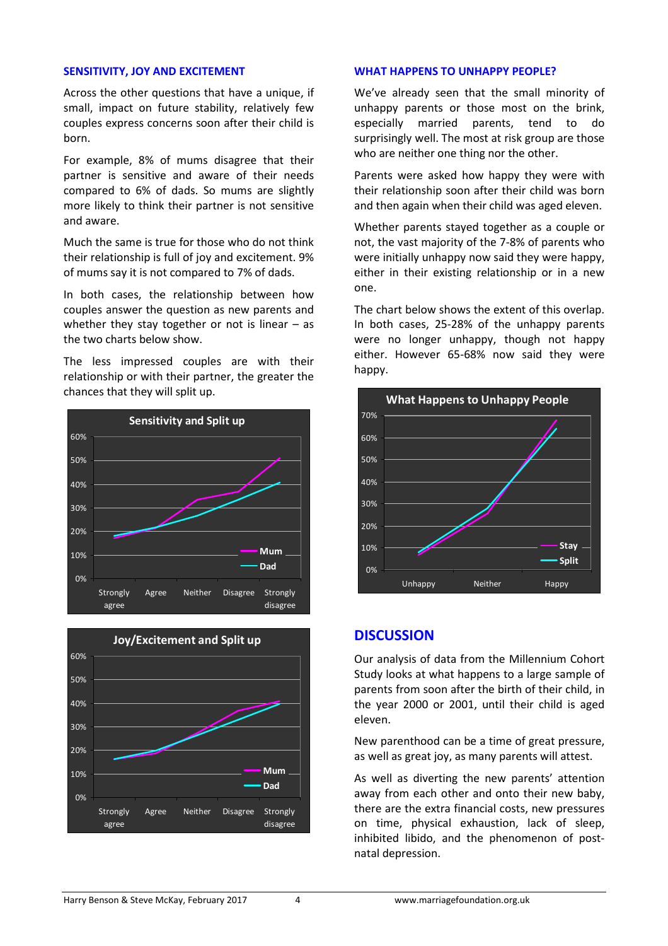#### **SENSITIVITY, JOY AND EXCITEMENT**

Across the other questions that have a unique, if small, impact on future stability, relatively few couples express concerns soon after their child is born.

For example, 8% of mums disagree that their partner is sensitive and aware of their needs compared to 6% of dads. So mums are slightly more likely to think their partner is not sensitive and aware.

Much the same is true for those who do not think their relationship is full of joy and excitement. 9% of mums say it is not compared to 7% of dads.

In both cases, the relationship between how couples answer the question as new parents and whether they stay together or not is linear  $-$  as the two charts below show.

The less impressed couples are with their relationship or with their partner, the greater the chances that they will split up.





### **WHAT HAPPENS TO UNHAPPY PEOPLE?**

We've already seen that the small minority of unhappy parents or those most on the brink, especially married parents, tend to do surprisingly well. The most at risk group are those who are neither one thing nor the other.

Parents were asked how happy they were with their relationship soon after their child was born and then again when their child was aged eleven.

Whether parents stayed together as a couple or not, the vast majority of the 7-8% of parents who were initially unhappy now said they were happy, either in their existing relationship or in a new one.

The chart below shows the extent of this overlap. In both cases, 25-28% of the unhappy parents were no longer unhappy, though not happy either. However 65-68% now said they were happy.



## **DISCUSSION**

Our analysis of data from the Millennium Cohort Study looks at what happens to a large sample of parents from soon after the birth of their child, in the year 2000 or 2001, until their child is aged eleven.

New parenthood can be a time of great pressure, as well as great joy, as many parents will attest.

As well as diverting the new parents' attention away from each other and onto their new baby, there are the extra financial costs, new pressures on time, physical exhaustion, lack of sleep, inhibited libido, and the phenomenon of postnatal depression.